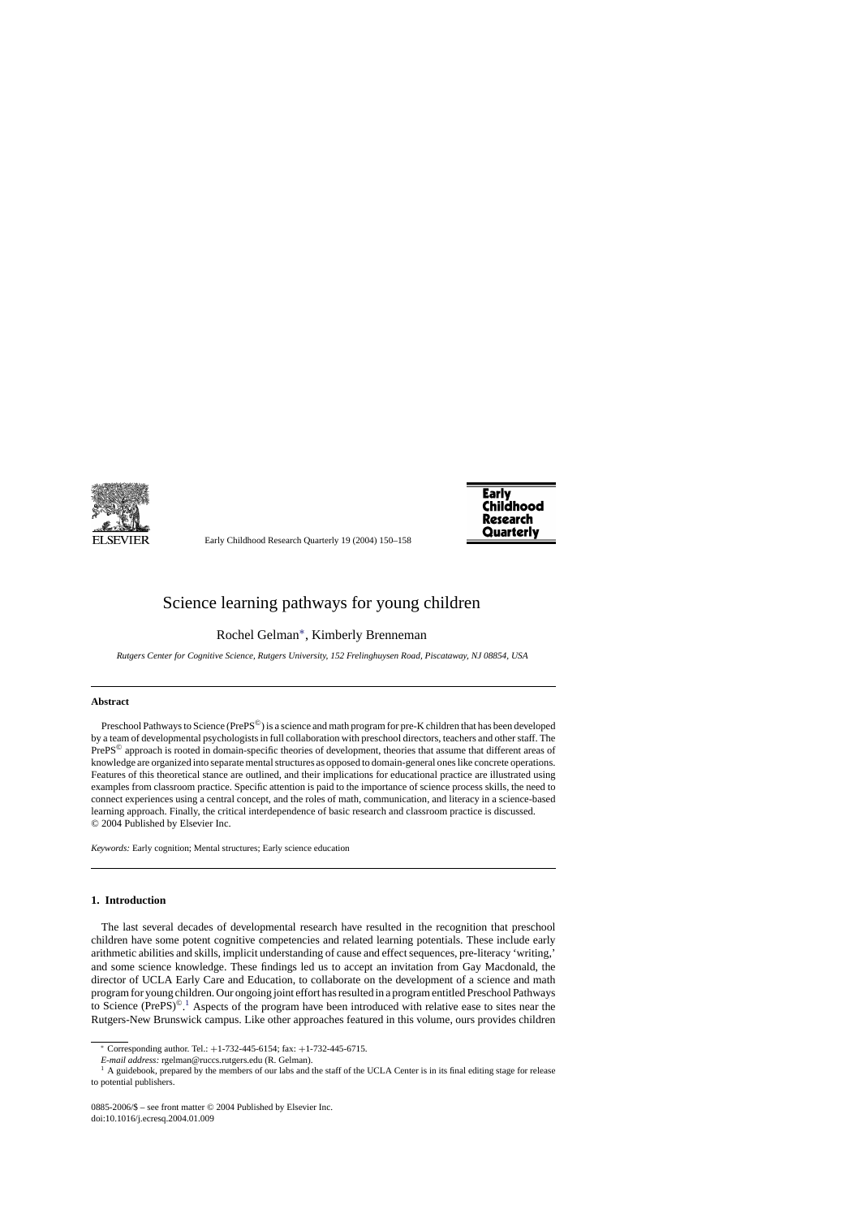

Early Childhood Research Quarterly 19 (2004) 150–158

Early Childhood **Research Quarterly** 

# Science learning pathways for young children

Rochel Gelman∗, Kimberly Brenneman

*Rutgers Center for Cognitive Science, Rutgers University, 152 Frelinghuysen Road, Piscataway, NJ 08854, USA*

#### **Abstract**

Preschool Pathways to Science (Pre $PS^{\odot}$ ) is a science and math program for pre-K children that has been developed by a team of developmental psychologists in full collaboration with preschool directors, teachers and other staff. The PrePS<sup>©</sup> approach is rooted in domain-specific theories of development, theories that assume that different areas of knowledge are organized into separate mental structures as opposed to domain-general ones like concrete operations. Features of this theoretical stance are outlined, and their implications for educational practice are illustrated using examples from classroom practice. Specific attention is paid to the importance of science process skills, the need to connect experiences using a central concept, and the roles of math, communication, and literacy in a science-based learning approach. Finally, the critical interdependence of basic research and classroom practice is discussed. © 2004 Published by Elsevier Inc.

*Keywords:* Early cognition; Mental structures; Early science education

## **1. Introduction**

The last several decades of developmental research have resulted in the recognition that preschool children have some potent cognitive competencies and related learning potentials. These include early arithmetic abilities and skills, implicit understanding of cause and effect sequences, pre-literacy 'writing,' and some science knowledge. These findings led us to accept an invitation from Gay Macdonald, the director of UCLA Early Care and Education, to collaborate on the development of a science and math program for young children. Our ongoing joint effort has resulted in a program entitled Preschool Pathways to Science (PrePS) $^{\circ}$ .<sup>1</sup> Aspects of the program have been introduced with relative ease to sites near the Rutgers-New Brunswick campus. Like other approaches featured in this volume, ours provides children

<sup>∗</sup> Corresponding author. Tel.: +1-732-445-6154; fax: +1-732-445-6715.

*E-mail address:* rgelman@ruccs.rutgers.edu (R. Gelman).

 $<sup>1</sup>$  A guidebook, prepared by the members of our labs and the staff of the UCLA Center is in its final editing stage for release</sup> to potential publishers.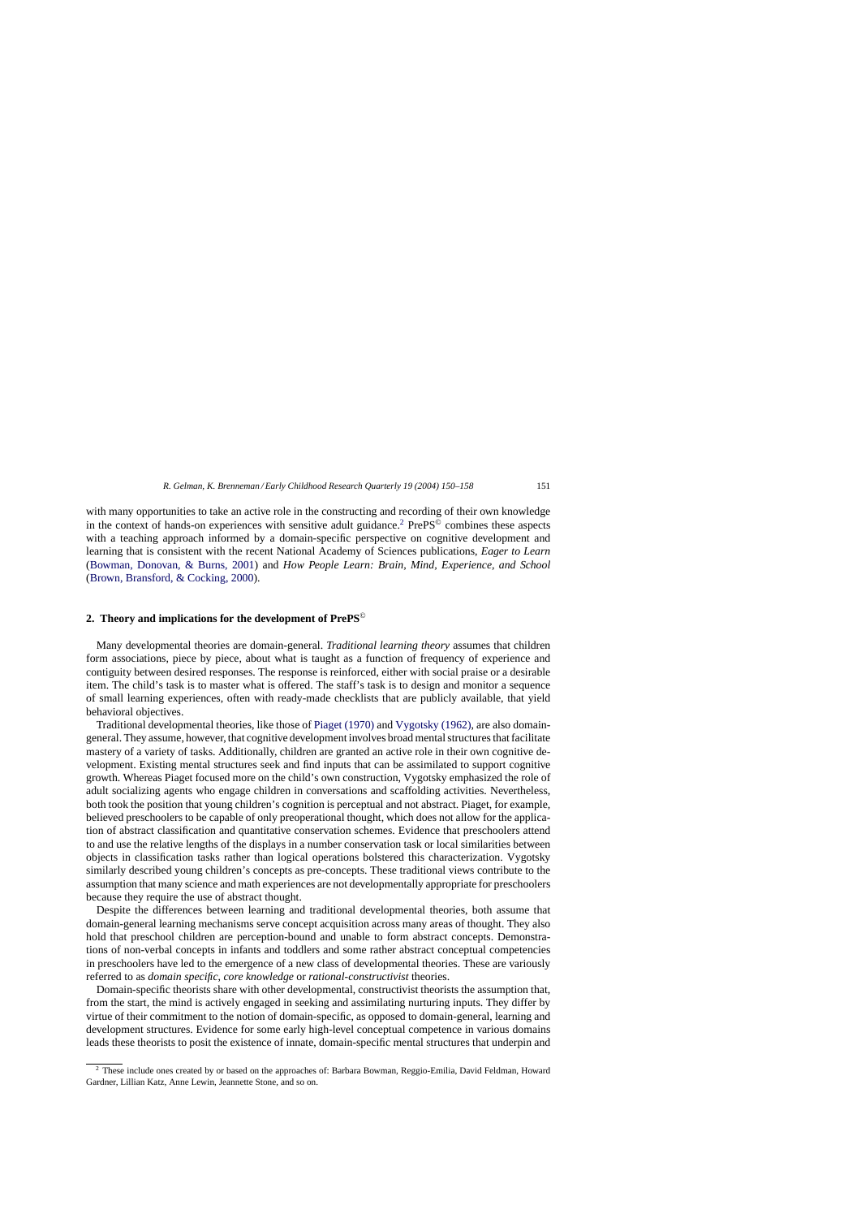with many opportunities to take an active role in the constructing and recording of their own knowledge in the context of hands-on experiences with sensitive adult guidance.<sup>2</sup> PrePS<sup>©</sup> combines these aspects with a teaching approach informed by a domain-specific perspective on cognitive development and learning that is consistent with the recent National Academy of Sciences publications, *Eager to Learn* ([Bowman, Donovan, & Burns, 2001](#page-7-0)) and *How People Learn: Brain, Mind, Experience, and School* ([Brown, Bransford, & Cocking, 2000\).](#page-7-0)

### **2. Theory and implications for the development of PrePS**©

Many developmental theories are domain-general. *Traditional learning theory* assumes that children form associations, piece by piece, about what is taught as a function of frequency of experience and contiguity between desired responses. The response is reinforced, either with social praise or a desirable item. The child's task is to master what is offered. The staff's task is to design and monitor a sequence of small learning experiences, often with ready-made checklists that are publicly available, that yield behavioral objectives.

Traditional developmental theories, like those of [Piaget \(1970\)](#page-8-0) and [Vygotsky \(1962\),](#page-8-0) are also domaingeneral. They assume, however, that cognitive development involves broad mental structures that facilitate mastery of a variety of tasks. Additionally, children are granted an active role in their own cognitive development. Existing mental structures seek and find inputs that can be assimilated to support cognitive growth. Whereas Piaget focused more on the child's own construction, Vygotsky emphasized the role of adult socializing agents who engage children in conversations and scaffolding activities. Nevertheless, both took the position that young children's cognition is perceptual and not abstract. Piaget, for example, believed preschoolers to be capable of only preoperational thought, which does not allow for the application of abstract classification and quantitative conservation schemes. Evidence that preschoolers attend to and use the relative lengths of the displays in a number conservation task or local similarities between objects in classification tasks rather than logical operations bolstered this characterization. Vygotsky similarly described young children's concepts as pre-concepts. These traditional views contribute to the assumption that many science and math experiences are not developmentally appropriate for preschoolers because they require the use of abstract thought.

Despite the differences between learning and traditional developmental theories, both assume that domain-general learning mechanisms serve concept acquisition across many areas of thought. They also hold that preschool children are perception-bound and unable to form abstract concepts. Demonstrations of non-verbal concepts in infants and toddlers and some rather abstract conceptual competencies in preschoolers have led to the emergence of a new class of developmental theories. These are variously referred to as *domain specific*, *core knowledge* or *rational-constructivist* theories.

Domain-specific theorists share with other developmental, constructivist theorists the assumption that, from the start, the mind is actively engaged in seeking and assimilating nurturing inputs. They differ by virtue of their commitment to the notion of domain-specific, as opposed to domain-general, learning and development structures. Evidence for some early high-level conceptual competence in various domains leads these theorists to posit the existence of innate, domain-specific mental structures that underpin and

<sup>2</sup> These include ones created by or based on the approaches of: Barbara Bowman, Reggio-Emilia, David Feldman, Howard Gardner, Lillian Katz, Anne Lewin, Jeannette Stone, and so on.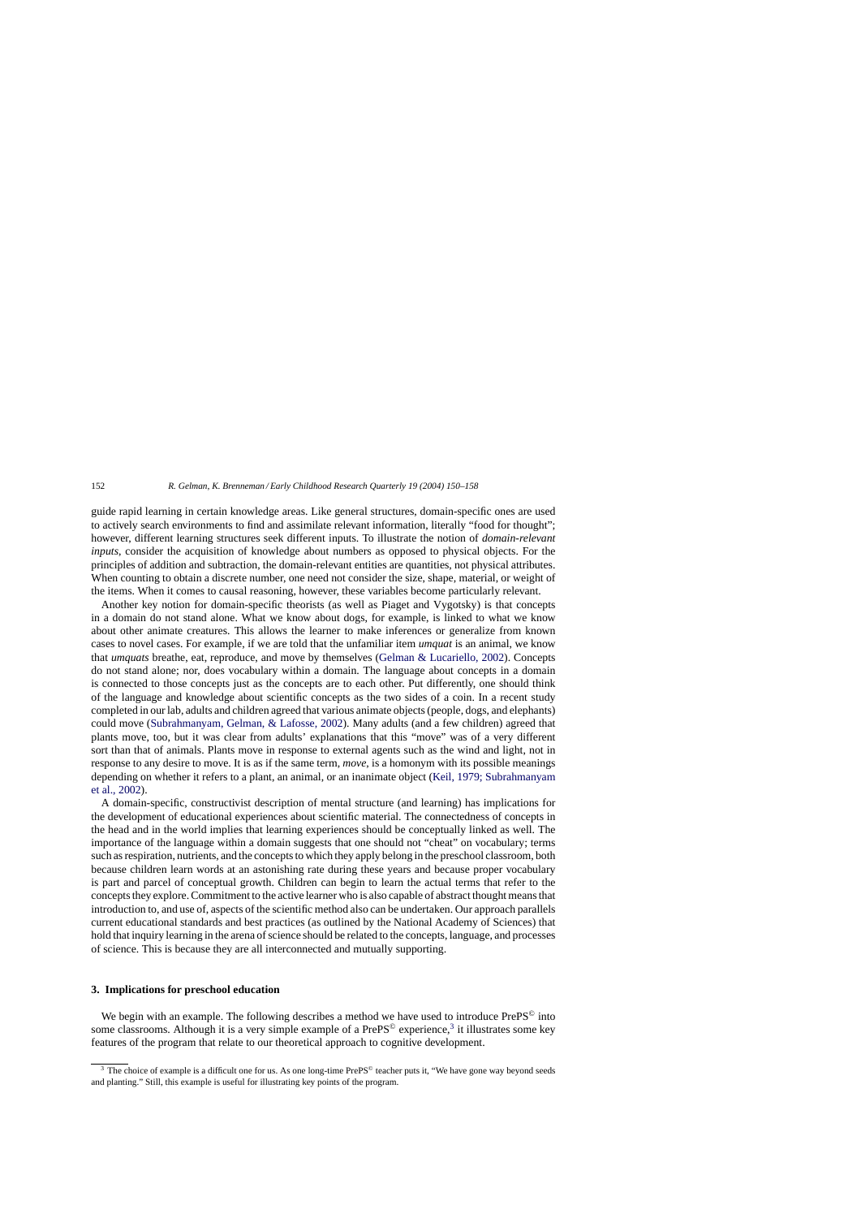guide rapid learning in certain knowledge areas. Like general structures, domain-specific ones are used to actively search environments to find and assimilate relevant information, literally "food for thought"; however, different learning structures seek different inputs. To illustrate the notion of *domain-relevant inputs*, consider the acquisition of knowledge about numbers as opposed to physical objects. For the principles of addition and subtraction, the domain-relevant entities are quantities, not physical attributes. When counting to obtain a discrete number, one need not consider the size, shape, material, or weight of the items. When it comes to causal reasoning, however, these variables become particularly relevant.

Another key notion for domain-specific theorists (as well as Piaget and Vygotsky) is that concepts in a domain do not stand alone. What we know about dogs, for example, is linked to what we know about other animate creatures. This allows the learner to make inferences or generalize from known cases to novel cases. For example, if we are told that the unfamiliar item *umquat* is an animal, we know that *umquats* breathe, eat, reproduce, and move by themselves ([Gelman & Lucariello, 2002\).](#page-8-0) Concepts do not stand alone; nor, does vocabulary within a domain. The language about concepts in a domain is connected to those concepts just as the concepts are to each other. Put differently, one should think of the language and knowledge about scientific concepts as the two sides of a coin. In a recent study completed in our lab, adults and children agreed that various animate objects (people, dogs, and elephants) could move [\(Subrahmanyam, Gelman, & Lafosse, 2002\)](#page-8-0). Many adults (and a few children) agreed that plants move, too, but it was clear from adults' explanations that this "move" was of a very different sort than that of animals. Plants move in response to external agents such as the wind and light, not in response to any desire to move. It is as if the same term, *move*, is a homonym with its possible meanings depending on whether it refers to a plant, an animal, or an inanimate object [\(Keil, 1979; Subrahmanyam](#page-8-0) [et al., 2002\).](#page-8-0)

A domain-specific, constructivist description of mental structure (and learning) has implications for the development of educational experiences about scientific material. The connectedness of concepts in the head and in the world implies that learning experiences should be conceptually linked as well. The importance of the language within a domain suggests that one should not "cheat" on vocabulary; terms such as respiration, nutrients, and the concepts to which they apply belong in the preschool classroom, both because children learn words at an astonishing rate during these years and because proper vocabulary is part and parcel of conceptual growth. Children can begin to learn the actual terms that refer to the concepts they explore. Commitment to the active learner who is also capable of abstract thought means that introduction to, and use of, aspects of the scientific method also can be undertaken. Our approach parallels current educational standards and best practices (as outlined by the National Academy of Sciences) that hold that inquiry learning in the arena of science should be related to the concepts, language, and processes of science. This is because they are all interconnected and mutually supporting.

#### **3. Implications for preschool education**

We begin with an example. The following describes a method we have used to introduce PrePS<sup>©</sup> into some classrooms. Although it is a very simple example of a  $PrePS^{\circ}$  experience,<sup>3</sup> it illustrates some key features of the program that relate to our theoretical approach to cognitive development.

 $3$  The choice of example is a difficult one for us. As one long-time PrePS<sup>®</sup> teacher puts it, "We have gone way beyond seeds and planting." Still, this example is useful for illustrating key points of the program.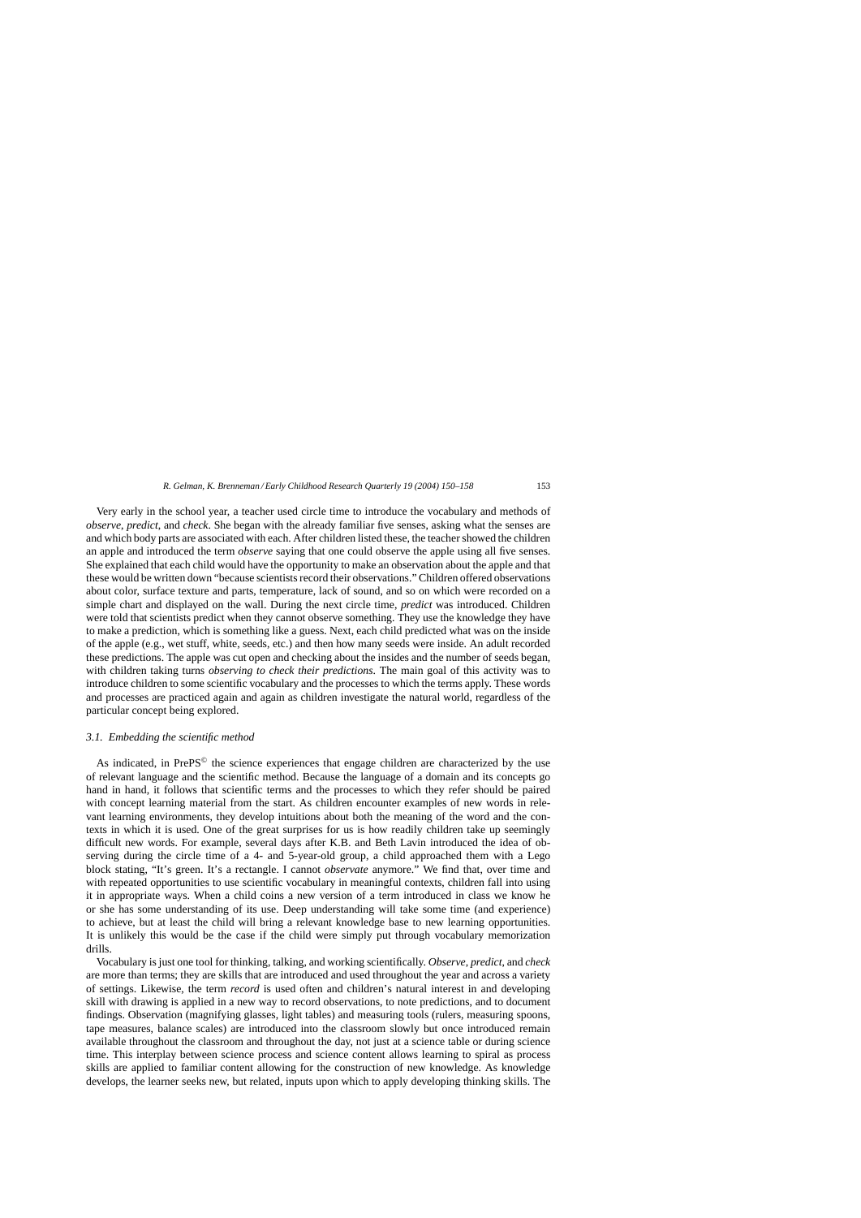Very early in the school year, a teacher used circle time to introduce the vocabulary and methods of *observe*, *predict*, and *check*. She began with the already familiar five senses, asking what the senses are and which body parts are associated with each. After children listed these, the teacher showed the children an apple and introduced the term *observe* saying that one could observe the apple using all five senses. She explained that each child would have the opportunity to make an observation about the apple and that these would be written down "because scientists record their observations." Children offered observations about color, surface texture and parts, temperature, lack of sound, and so on which were recorded on a simple chart and displayed on the wall. During the next circle time, *predict* was introduced. Children were told that scientists predict when they cannot observe something. They use the knowledge they have to make a prediction, which is something like a guess. Next, each child predicted what was on the inside of the apple (e.g., wet stuff, white, seeds, etc.) and then how many seeds were inside. An adult recorded these predictions. The apple was cut open and checking about the insides and the number of seeds began, with children taking turns *observing to check their predictions*. The main goal of this activity was to introduce children to some scientific vocabulary and the processes to which the terms apply. These words and processes are practiced again and again as children investigate the natural world, regardless of the particular concept being explored.

#### *3.1. Embedding the scientific method*

As indicated, in PrePS<sup>©</sup> the science experiences that engage children are characterized by the use of relevant language and the scientific method. Because the language of a domain and its concepts go hand in hand, it follows that scientific terms and the processes to which they refer should be paired with concept learning material from the start. As children encounter examples of new words in relevant learning environments, they develop intuitions about both the meaning of the word and the contexts in which it is used. One of the great surprises for us is how readily children take up seemingly difficult new words. For example, several days after K.B. and Beth Lavin introduced the idea of observing during the circle time of a 4- and 5-year-old group, a child approached them with a Lego block stating, "It's green. It's a rectangle. I cannot *observate* anymore." We find that, over time and with repeated opportunities to use scientific vocabulary in meaningful contexts, children fall into using it in appropriate ways. When a child coins a new version of a term introduced in class we know he or she has some understanding of its use. Deep understanding will take some time (and experience) to achieve, but at least the child will bring a relevant knowledge base to new learning opportunities. It is unlikely this would be the case if the child were simply put through vocabulary memorization drills.

Vocabulary is just one tool for thinking, talking, and working scientifically. *Observe*, *predict*, and *check* are more than terms; they are skills that are introduced and used throughout the year and across a variety of settings. Likewise, the term *record* is used often and children's natural interest in and developing skill with drawing is applied in a new way to record observations, to note predictions, and to document findings. Observation (magnifying glasses, light tables) and measuring tools (rulers, measuring spoons, tape measures, balance scales) are introduced into the classroom slowly but once introduced remain available throughout the classroom and throughout the day, not just at a science table or during science time. This interplay between science process and science content allows learning to spiral as process skills are applied to familiar content allowing for the construction of new knowledge. As knowledge develops, the learner seeks new, but related, inputs upon which to apply developing thinking skills. The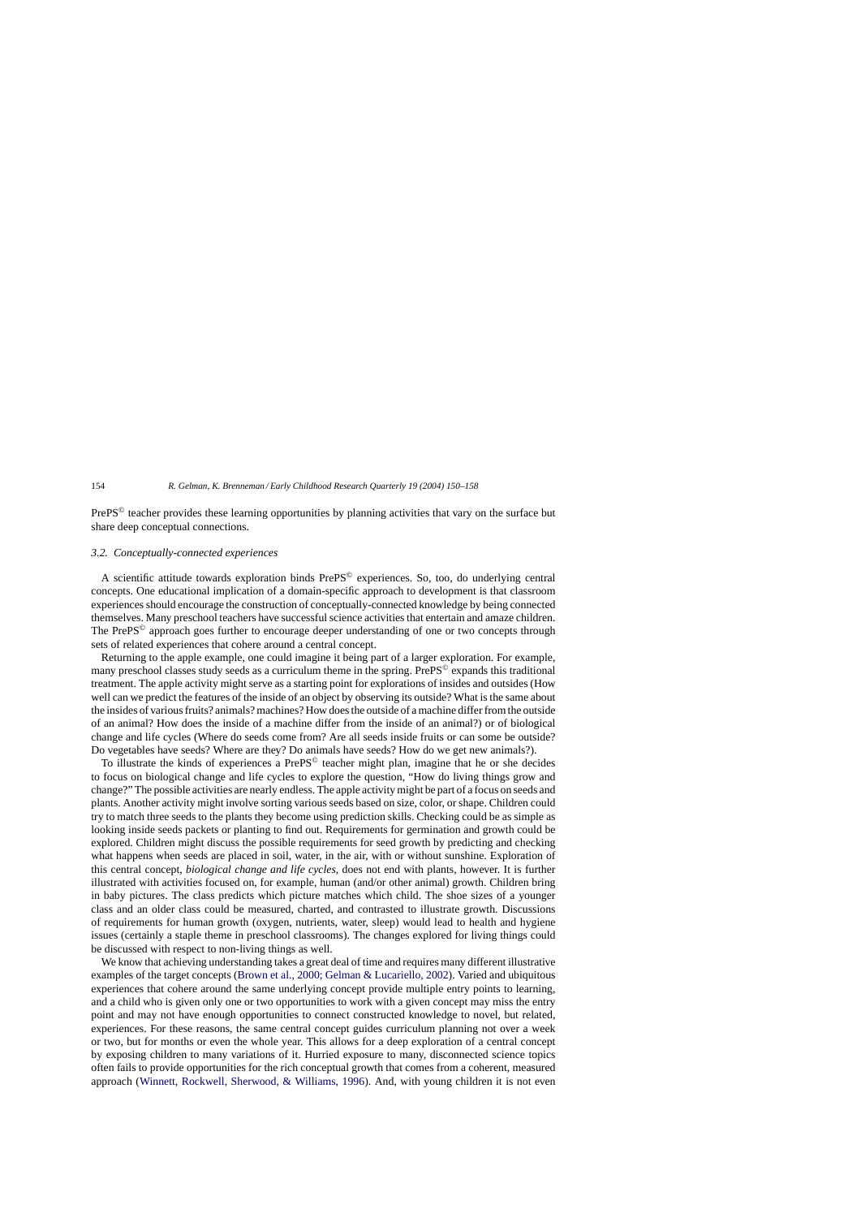PrePS<sup>©</sup> teacher provides these learning opportunities by planning activities that vary on the surface but share deep conceptual connections.

#### *3.2. Conceptually-connected experiences*

A scientific attitude towards exploration binds PrePS<sup>©</sup> experiences. So, too, do underlying central concepts. One educational implication of a domain-specific approach to development is that classroom experiences should encourage the construction of conceptually-connected knowledge by being connected themselves. Many preschool teachers have successful science activities that entertain and amaze children. The PrePS<sup>©</sup> approach goes further to encourage deeper understanding of one or two concepts through sets of related experiences that cohere around a central concept.

Returning to the apple example, one could imagine it being part of a larger exploration. For example, many preschool classes study seeds as a curriculum theme in the spring. PrePS<sup>©</sup> expands this traditional treatment. The apple activity might serve as a starting point for explorations of insides and outsides (How well can we predict the features of the inside of an object by observing its outside? What is the same about the insides of various fruits? animals? machines? How does the outside of a machine differ from the outside of an animal? How does the inside of a machine differ from the inside of an animal?) or of biological change and life cycles (Where do seeds come from? Are all seeds inside fruits or can some be outside? Do vegetables have seeds? Where are they? Do animals have seeds? How do we get new animals?).

To illustrate the kinds of experiences a PrePS<sup>®</sup> teacher might plan, imagine that he or she decides to focus on biological change and life cycles to explore the question, "How do living things grow and change?" The possible activities are nearly endless. The apple activity might be part of a focus on seeds and plants. Another activity might involve sorting various seeds based on size, color, or shape. Children could try to match three seeds to the plants they become using prediction skills. Checking could be as simple as looking inside seeds packets or planting to find out. Requirements for germination and growth could be explored. Children might discuss the possible requirements for seed growth by predicting and checking what happens when seeds are placed in soil, water, in the air, with or without sunshine. Exploration of this central concept, *biological change and life cycles*, does not end with plants, however. It is further illustrated with activities focused on, for example, human (and/or other animal) growth. Children bring in baby pictures. The class predicts which picture matches which child. The shoe sizes of a younger class and an older class could be measured, charted, and contrasted to illustrate growth. Discussions of requirements for human growth (oxygen, nutrients, water, sleep) would lead to health and hygiene issues (certainly a staple theme in preschool classrooms). The changes explored for living things could be discussed with respect to non-living things as well.

We know that achieving understanding takes a great deal of time and requires many different illustrative examples of the target concepts [\(Brown et al., 2000; Gelman & Lucariello, 2002\).](#page-7-0) Varied and ubiquitous experiences that cohere around the same underlying concept provide multiple entry points to learning, and a child who is given only one or two opportunities to work with a given concept may miss the entry point and may not have enough opportunities to connect constructed knowledge to novel, but related, experiences. For these reasons, the same central concept guides curriculum planning not over a week or two, but for months or even the whole year. This allows for a deep exploration of a central concept by exposing children to many variations of it. Hurried exposure to many, disconnected science topics often fails to provide opportunities for the rich conceptual growth that comes from a coherent, measured approach ([Winnett, Rockwell, Sherwood, & Williams, 1996\)](#page-8-0). And, with young children it is not even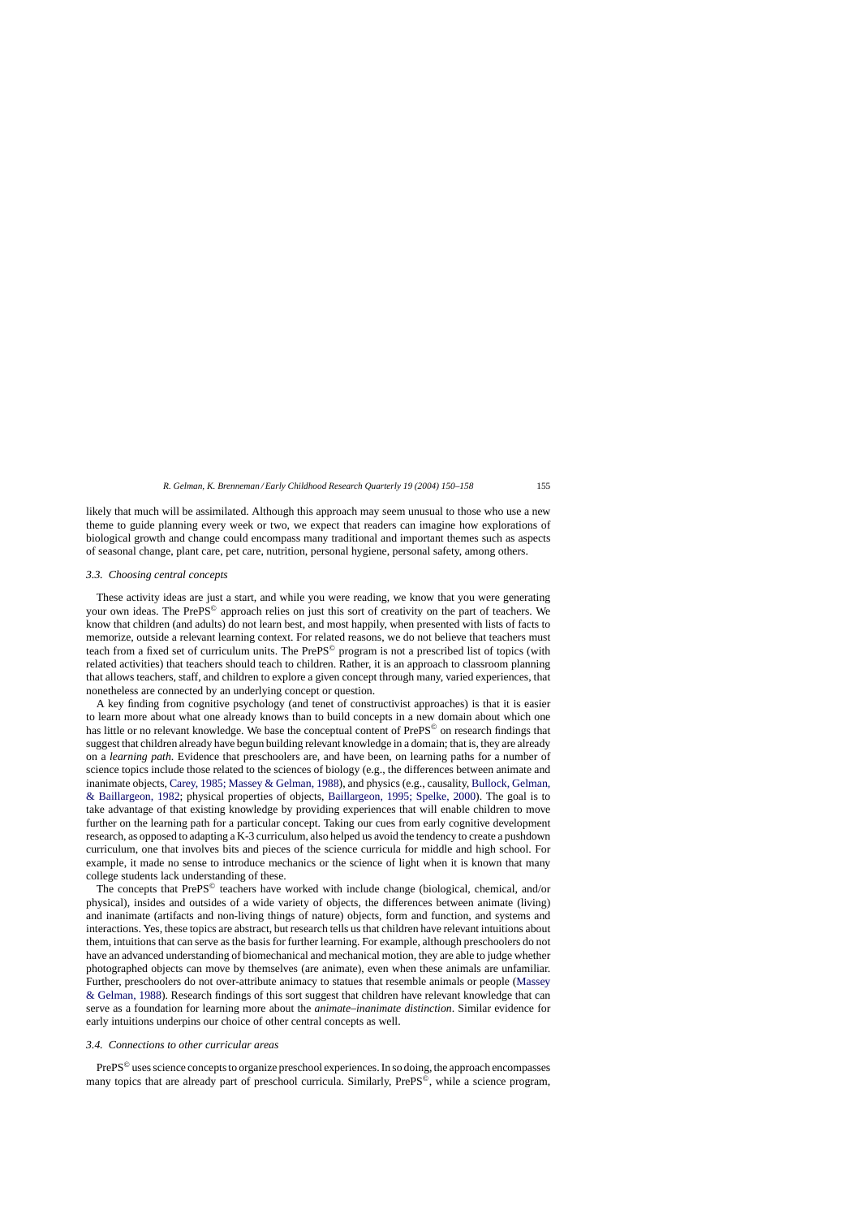likely that much will be assimilated. Although this approach may seem unusual to those who use a new theme to guide planning every week or two, we expect that readers can imagine how explorations of biological growth and change could encompass many traditional and important themes such as aspects of seasonal change, plant care, pet care, nutrition, personal hygiene, personal safety, among others.

#### *3.3. Choosing central concepts*

These activity ideas are just a start, and while you were reading, we know that you were generating your own ideas. The PrePS<sup>©</sup> approach relies on just this sort of creativity on the part of teachers. We know that children (and adults) do not learn best, and most happily, when presented with lists of facts to memorize, outside a relevant learning context. For related reasons, we do not believe that teachers must teach from a fixed set of curriculum units. The PrePS© program is not a prescribed list of topics (with related activities) that teachers should teach to children. Rather, it is an approach to classroom planning that allows teachers, staff, and children to explore a given concept through many, varied experiences, that nonetheless are connected by an underlying concept or question.

A key finding from cognitive psychology (and tenet of constructivist approaches) is that it is easier to learn more about what one already knows than to build concepts in a new domain about which one has little or no relevant knowledge. We base the conceptual content of PrePS<sup>©</sup> on research findings that suggest that children already have begun building relevant knowledge in a domain; that is, they are already on a *learning path*. Evidence that preschoolers are, and have been, on learning paths for a number of science topics include those related to the sciences of biology (e.g., the differences between animate and inanimate objects, [Carey, 1985; Massey & Gelman, 1988\),](#page-8-0) and physics (e.g., causality, [Bullock, Gelman,](#page-7-0) [& Baillargeon, 1982;](#page-7-0) physical properties of objects, [Baillargeon, 1995; Spelke, 2000\)](#page-7-0). The goal is to take advantage of that existing knowledge by providing experiences that will enable children to move further on the learning path for a particular concept. Taking our cues from early cognitive development research, as opposed to adapting a K-3 curriculum, also helped us avoid the tendency to create a pushdown curriculum, one that involves bits and pieces of the science curricula for middle and high school. For example, it made no sense to introduce mechanics or the science of light when it is known that many college students lack understanding of these.

The concepts that PrePS<sup>©</sup> teachers have worked with include change (biological, chemical, and/or physical), insides and outsides of a wide variety of objects, the differences between animate (living) and inanimate (artifacts and non-living things of nature) objects, form and function, and systems and interactions. Yes, these topics are abstract, but research tells us that children have relevant intuitions about them, intuitions that can serve as the basis for further learning. For example, although preschoolers do not have an advanced understanding of biomechanical and mechanical motion, they are able to judge whether photographed objects can move by themselves (are animate), even when these animals are unfamiliar. Further, preschoolers do not over-attribute animacy to statues that resemble animals or people [\(Massey](#page-8-0) [& Gelman, 1988\).](#page-8-0) Research findings of this sort suggest that children have relevant knowledge that can serve as a foundation for learning more about the *animate–inanimate distinction*. Similar evidence for early intuitions underpins our choice of other central concepts as well.

#### *3.4. Connections to other curricular areas*

PrePS© uses science concepts to organize preschool experiences. In so doing, the approach encompasses many topics that are already part of preschool curricula. Similarly, PrePS<sup>©</sup>, while a science program,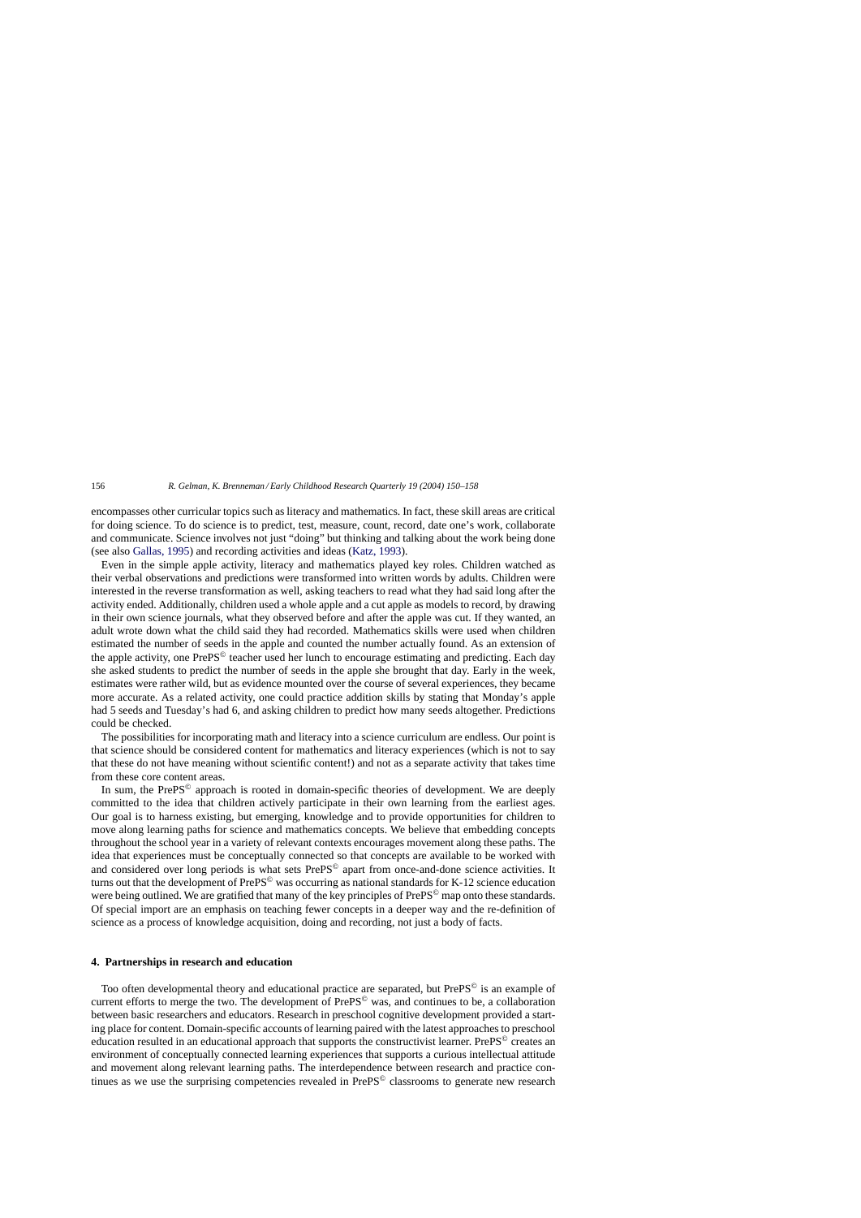encompasses other curricular topics such as literacy and mathematics. In fact, these skill areas are critical for doing science. To do science is to predict, test, measure, count, record, date one's work, collaborate and communicate. Science involves not just "doing" but thinking and talking about the work being done (see also [Gallas, 1995\)](#page-8-0) and recording activities and ideas ([Katz, 1993\).](#page-8-0)

Even in the simple apple activity, literacy and mathematics played key roles. Children watched as their verbal observations and predictions were transformed into written words by adults. Children were interested in the reverse transformation as well, asking teachers to read what they had said long after the activity ended. Additionally, children used a whole apple and a cut apple as models to record, by drawing in their own science journals, what they observed before and after the apple was cut. If they wanted, an adult wrote down what the child said they had recorded. Mathematics skills were used when children estimated the number of seeds in the apple and counted the number actually found. As an extension of the apple activity, one PrePS<sup>©</sup> teacher used her lunch to encourage estimating and predicting. Each day she asked students to predict the number of seeds in the apple she brought that day. Early in the week, estimates were rather wild, but as evidence mounted over the course of several experiences, they became more accurate. As a related activity, one could practice addition skills by stating that Monday's apple had 5 seeds and Tuesday's had 6, and asking children to predict how many seeds altogether. Predictions could be checked.

The possibilities for incorporating math and literacy into a science curriculum are endless. Our point is that science should be considered content for mathematics and literacy experiences (which is not to say that these do not have meaning without scientific content!) and not as a separate activity that takes time from these core content areas.

In sum, the Pre $PS^{\circ}$  approach is rooted in domain-specific theories of development. We are deeply committed to the idea that children actively participate in their own learning from the earliest ages. Our goal is to harness existing, but emerging, knowledge and to provide opportunities for children to move along learning paths for science and mathematics concepts. We believe that embedding concepts throughout the school year in a variety of relevant contexts encourages movement along these paths. The idea that experiences must be conceptually connected so that concepts are available to be worked with and considered over long periods is what sets PrePS<sup>©</sup> apart from once-and-done science activities. It turns out that the development of PrePS<sup>®</sup> was occurring as national standards for K-12 science education were being outlined. We are gratified that many of the key principles of  $PrePS^{\circ}$  map onto these standards. Of special import are an emphasis on teaching fewer concepts in a deeper way and the re-definition of science as a process of knowledge acquisition, doing and recording, not just a body of facts.

#### **4. Partnerships in research and education**

Too often developmental theory and educational practice are separated, but PrePS<sup>©</sup> is an example of current efforts to merge the two. The development of  $PrePS^{\circledcirc}$  was, and continues to be, a collaboration between basic researchers and educators. Research in preschool cognitive development provided a starting place for content. Domain-specific accounts of learning paired with the latest approaches to preschool education resulted in an educational approach that supports the constructivist learner. PrePS<sup>©</sup> creates an environment of conceptually connected learning experiences that supports a curious intellectual attitude and movement along relevant learning paths. The interdependence between research and practice continues as we use the surprising competencies revealed in PrePS© classrooms to generate new research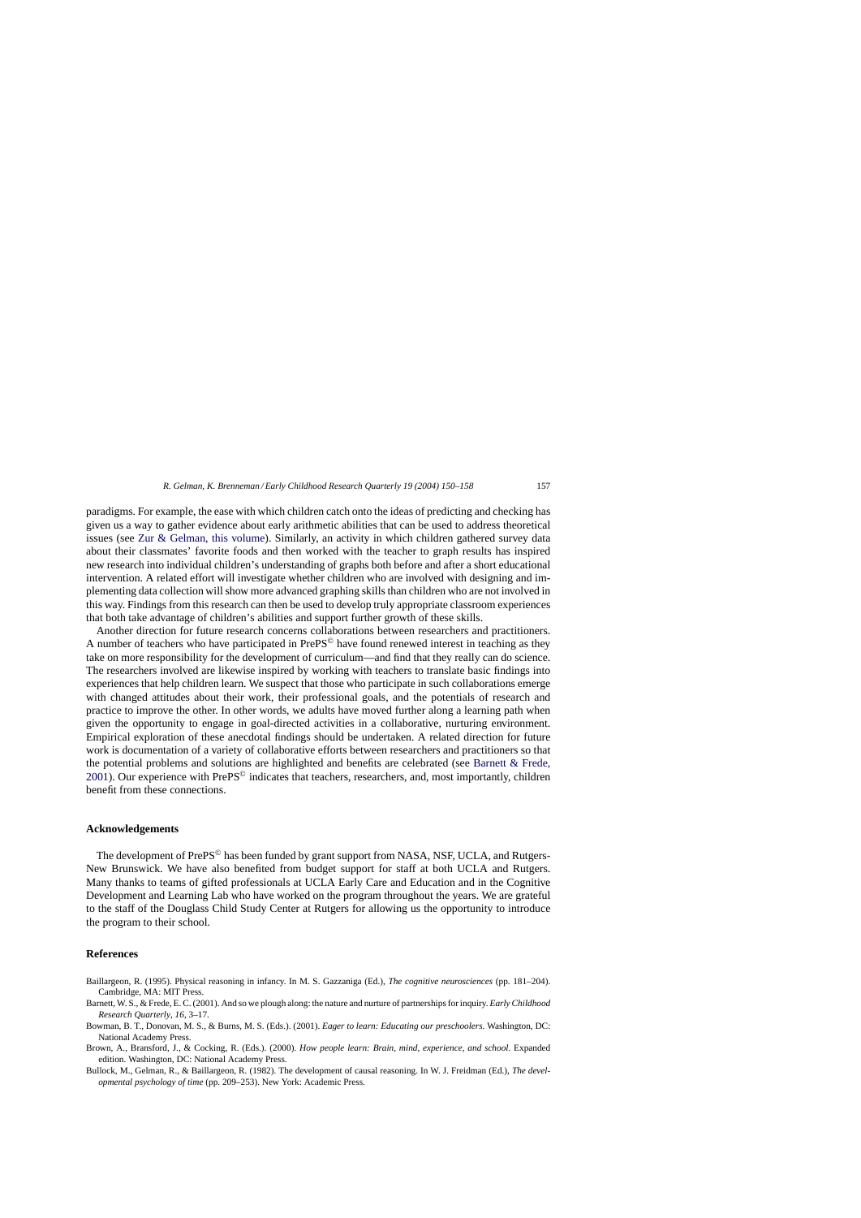<span id="page-7-0"></span>paradigms. For example, the ease with which children catch onto the ideas of predicting and checking has given us a way to gather evidence about early arithmetic abilities that can be used to address theoretical issues (see [Zur & Gelman, this volume\)](#page-8-0). Similarly, an activity in which children gathered survey data about their classmates' favorite foods and then worked with the teacher to graph results has inspired new research into individual children's understanding of graphs both before and after a short educational intervention. A related effort will investigate whether children who are involved with designing and implementing data collection will show more advanced graphing skills than children who are not involved in this way. Findings from this research can then be used to develop truly appropriate classroom experiences that both take advantage of children's abilities and support further growth of these skills.

Another direction for future research concerns collaborations between researchers and practitioners. A number of teachers who have participated in PrePS<sup>©</sup> have found renewed interest in teaching as they take on more responsibility for the development of curriculum—and find that they really can do science. The researchers involved are likewise inspired by working with teachers to translate basic findings into experiences that help children learn. We suspect that those who participate in such collaborations emerge with changed attitudes about their work, their professional goals, and the potentials of research and practice to improve the other. In other words, we adults have moved further along a learning path when given the opportunity to engage in goal-directed activities in a collaborative, nurturing environment. Empirical exploration of these anecdotal findings should be undertaken. A related direction for future work is documentation of a variety of collaborative efforts between researchers and practitioners so that the potential problems and solutions are highlighted and benefits are celebrated (see Barnett & Frede, 2001). Our experience with PrePS<sup>©</sup> indicates that teachers, researchers, and, most importantly, children benefit from these connections.

#### **Acknowledgements**

The development of PrePS<sup>©</sup> has been funded by grant support from NASA, NSF, UCLA, and Rutgers-New Brunswick. We have also benefited from budget support for staff at both UCLA and Rutgers. Many thanks to teams of gifted professionals at UCLA Early Care and Education and in the Cognitive Development and Learning Lab who have worked on the program throughout the years. We are grateful to the staff of the Douglass Child Study Center at Rutgers for allowing us the opportunity to introduce the program to their school.

#### **References**

- Baillargeon, R. (1995). Physical reasoning in infancy. In M. S. Gazzaniga (Ed.), *The cognitive neurosciences* (pp. 181–204). Cambridge, MA: MIT Press.
- Barnett, W. S., & Frede, E. C. (2001). And so we plough along: the nature and nurture of partnerships for inquiry. *Early Childhood Research Quarterly*, *16*, 3–17.
- Bowman, B. T., Donovan, M. S., & Burns, M. S. (Eds.). (2001). *Eager to learn: Educating our preschoolers*. Washington, DC: National Academy Press.
- Brown, A., Bransford, J., & Cocking, R. (Eds.). (2000). *How people learn: Brain, mind, experience, and school*. Expanded edition. Washington, DC: National Academy Press.
- Bullock, M., Gelman, R., & Baillargeon, R. (1982). The development of causal reasoning. In W. J. Freidman (Ed.), *The developmental psychology of time* (pp. 209–253). New York: Academic Press.